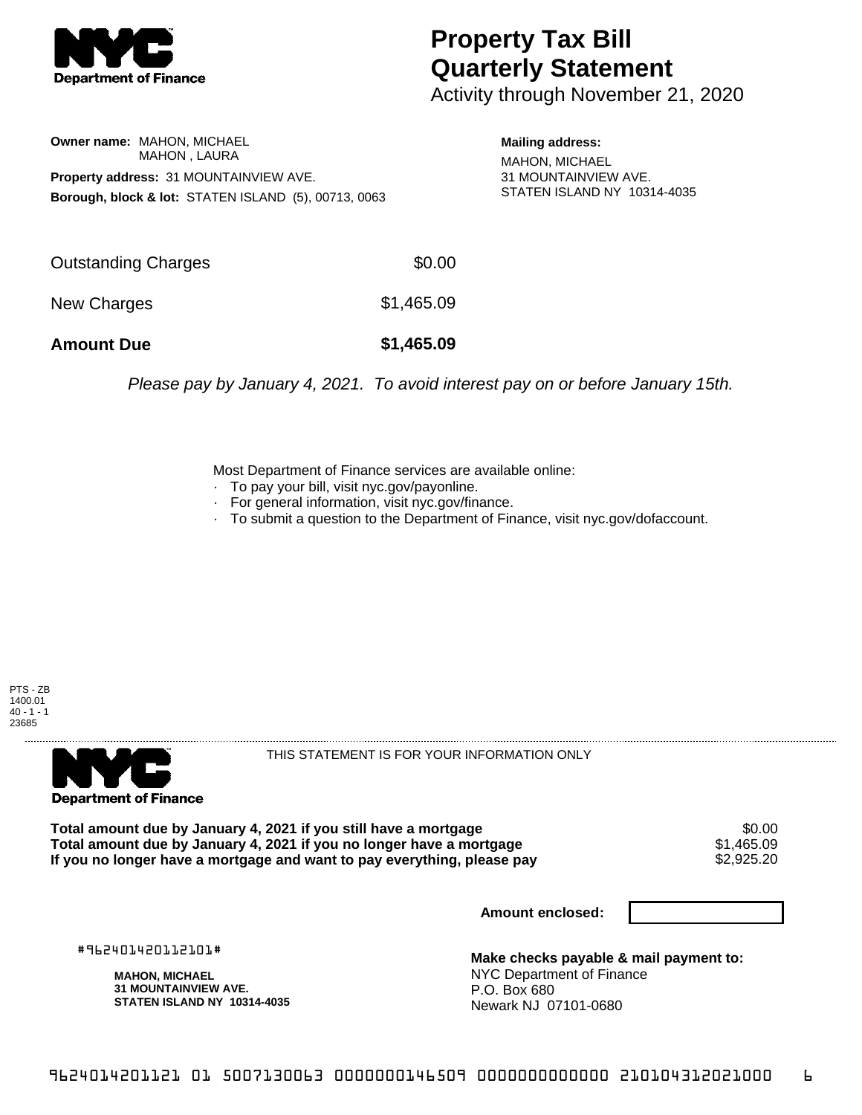

## **Property Tax Bill Quarterly Statement**

Activity through November 21, 2020

**Owner name:** MAHON, MICHAEL MAHON , LAURA **Property address:** 31 MOUNTAINVIEW AVE. **Borough, block & lot:** STATEN ISLAND (5), 00713, 0063

**Mailing address:** MAHON, MICHAEL 31 MOUNTAINVIEW AVE. STATEN ISLAND NY 10314-4035

| <b>Amount Due</b>   | \$1,465.09 |
|---------------------|------------|
| New Charges         | \$1,465.09 |
| Outstanding Charges | \$0.00     |

Please pay by January 4, 2021. To avoid interest pay on or before January 15th.

Most Department of Finance services are available online:

- · To pay your bill, visit nyc.gov/payonline.
- For general information, visit nyc.gov/finance.
- · To submit a question to the Department of Finance, visit nyc.gov/dofaccount.





THIS STATEMENT IS FOR YOUR INFORMATION ONLY

Total amount due by January 4, 2021 if you still have a mortgage  $$0.00$ <br>Total amount due by January 4, 2021 if you no longer have a mortgage  $$1,465.09$ **Total amount due by January 4, 2021 if you no longer have a mortgage**  $$1,465.09$ **<br>If you no longer have a mortgage and want to pay everything, please pay**  $$2,925.20$ If you no longer have a mortgage and want to pay everything, please pay

**Amount enclosed:**

#962401420112101#

**MAHON, MICHAEL 31 MOUNTAINVIEW AVE. STATEN ISLAND NY 10314-4035**

**Make checks payable & mail payment to:** NYC Department of Finance P.O. Box 680 Newark NJ 07101-0680